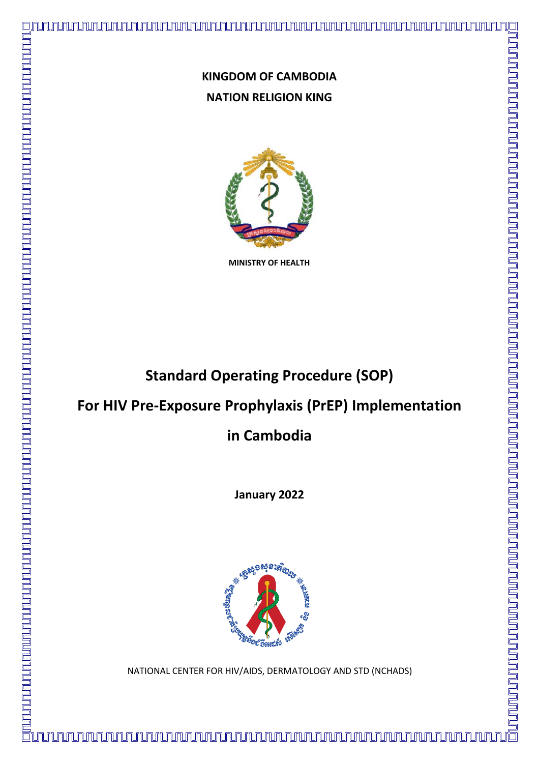

**MINISTRY OF HEALTH** 

# **Standard Operating Procedure (SOP)**

## **For HIV Pre-Exposure Prophylaxis (PrEP) Implementation**

**in Cambodia**

**January 2022**



NATIONAL CENTER FOR HIV/AIDS, DERMATOLOGY AND STD (NCHADS)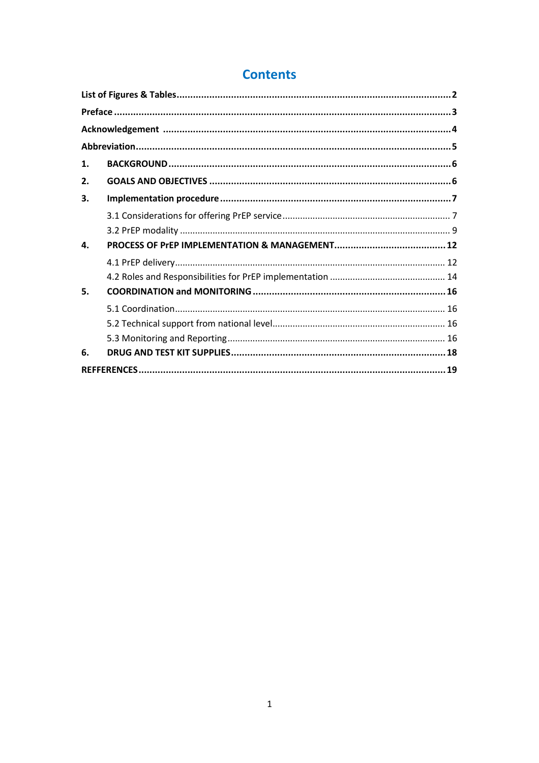| 1. |  |
|----|--|
| 2. |  |
| 3. |  |
|    |  |
|    |  |
| 4. |  |
|    |  |
|    |  |
| 5. |  |
|    |  |
|    |  |
|    |  |
| 6. |  |
|    |  |

## **Contents**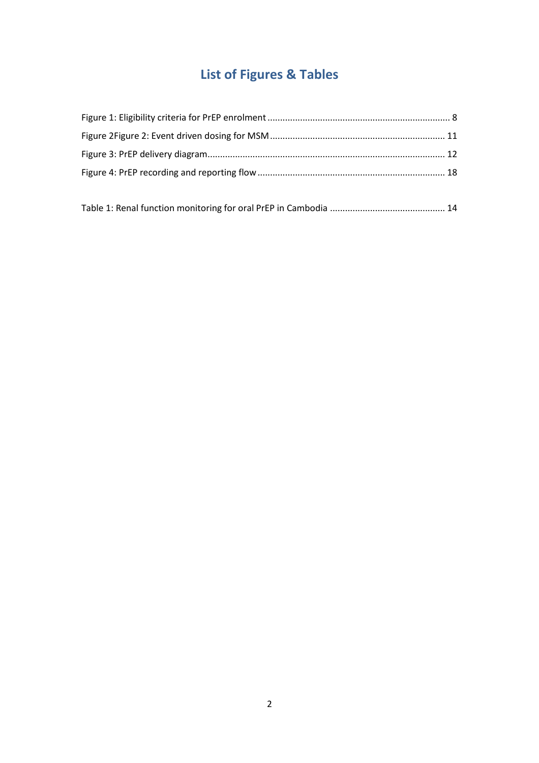# **List of Figures & Tables**

<span id="page-2-0"></span>

|--|--|--|--|--|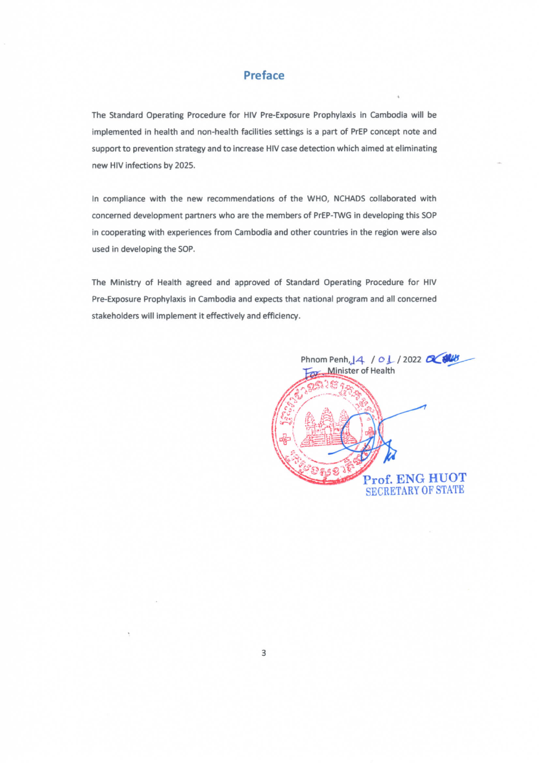## **Preface**

The Standard Operating Procedure for HIV Pre-Exposure Prophylaxis in Cambodia will be implemented in health and non-health facilities settings is a part of PrEP concept note and support to prevention strategy and to increase HIV case detection which aimed at eliminating new HIV infections by 2025.

In compliance with the new recommendations of the WHO, NCHADS collaborated with concerned development partners who are the members of PrEP-TWG in developing this SOP in cooperating with experiences from Cambodia and other countries in the region were also used in developing the SOP.

The Ministry of Health agreed and approved of Standard Operating Procedure for HIV Pre-Exposure Prophylaxis in Cambodia and expects that national program and all concerned stakeholders will implement it effectively and efficiency.

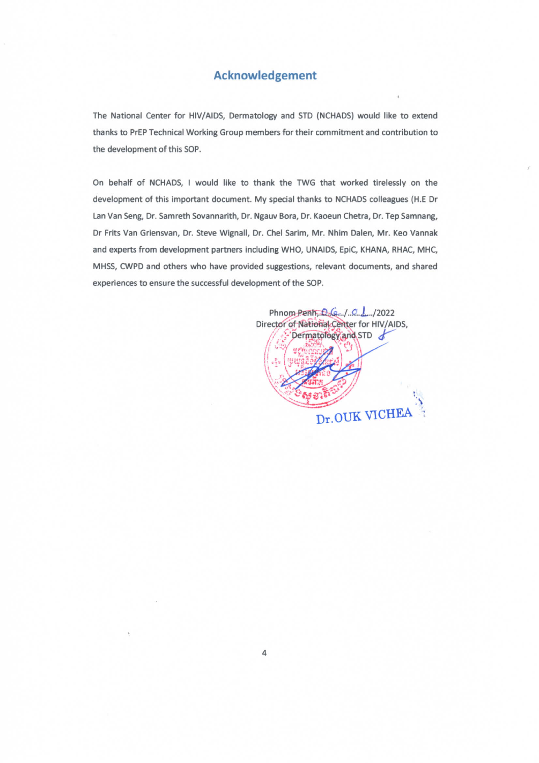## **Acknowledgement**

The National Center for HIV/AIDS, Dermatology and STD (NCHADS) would like to extend thanks to PrEP Technical Working Group members for their commitment and contribution to the development of this SOP.

On behalf of NCHADS, I would like to thank the TWG that worked tirelessly on the development of this important document. My special thanks to NCHADS colleagues (H.E Dr Lan Van Seng, Dr. Samreth Sovannarith, Dr. Ngauv Bora, Dr. Kaoeun Chetra, Dr. Tep Samnang, Dr Frits Van Griensvan, Dr. Steve Wignall, Dr. Chel Sarim, Mr. Nhim Dalen, Mr. Keo Vannak and experts from development partners including WHO, UNAIDS, EpiC, KHANA, RHAC, MHC, MHSS, CWPD and others who have provided suggestions, relevant documents, and shared experiences to ensure the successful development of the SOP.

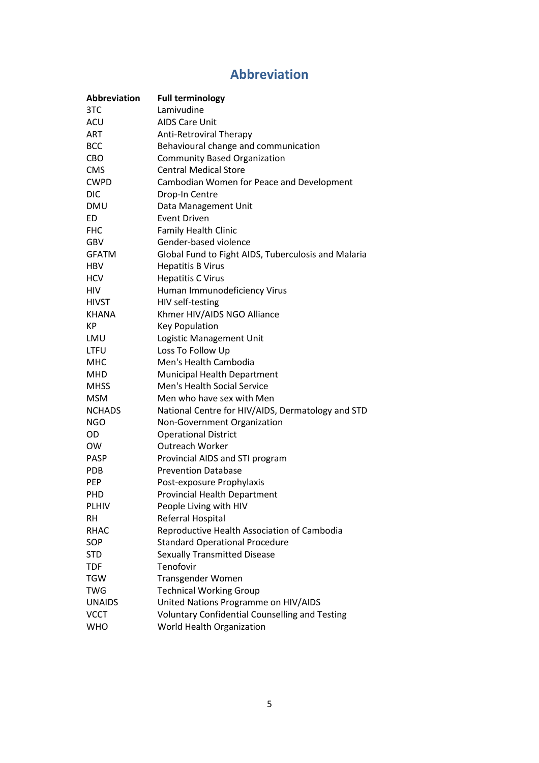## **Abbreviation**

<span id="page-5-0"></span>

| <b>Abbreviation</b> | <b>Full terminology</b>                               |
|---------------------|-------------------------------------------------------|
| 3TC                 | Lamivudine                                            |
| ACU                 | <b>AIDS Care Unit</b>                                 |
| <b>ART</b>          | <b>Anti-Retroviral Therapy</b>                        |
| <b>BCC</b>          | Behavioural change and communication                  |
| <b>CBO</b>          | <b>Community Based Organization</b>                   |
| <b>CMS</b>          | <b>Central Medical Store</b>                          |
| <b>CWPD</b>         | Cambodian Women for Peace and Development             |
| <b>DIC</b>          | Drop-In Centre                                        |
| <b>DMU</b>          | Data Management Unit                                  |
| ED                  | <b>Event Driven</b>                                   |
| <b>FHC</b>          | <b>Family Health Clinic</b>                           |
| GBV                 | Gender-based violence                                 |
| <b>GFATM</b>        | Global Fund to Fight AIDS, Tuberculosis and Malaria   |
| <b>HBV</b>          | <b>Hepatitis B Virus</b>                              |
| <b>HCV</b>          | <b>Hepatitis C Virus</b>                              |
| <b>HIV</b>          | Human Immunodeficiency Virus                          |
| <b>HIVST</b>        | HIV self-testing                                      |
| KHANA               | Khmer HIV/AIDS NGO Alliance                           |
| КP                  | <b>Key Population</b>                                 |
| LMU                 | Logistic Management Unit                              |
| <b>LTFU</b>         | Loss To Follow Up                                     |
| <b>MHC</b>          | Men's Health Cambodia                                 |
| MHD                 | Municipal Health Department                           |
| <b>MHSS</b>         | Men's Health Social Service                           |
| <b>MSM</b>          | Men who have sex with Men                             |
| <b>NCHADS</b>       | National Centre for HIV/AIDS, Dermatology and STD     |
| <b>NGO</b>          | Non-Government Organization                           |
| OD                  | <b>Operational District</b>                           |
| <b>OW</b>           | <b>Outreach Worker</b>                                |
| <b>PASP</b>         | Provincial AIDS and STI program                       |
| <b>PDB</b>          | <b>Prevention Database</b>                            |
| <b>PEP</b>          | Post-exposure Prophylaxis                             |
| PHD                 | <b>Provincial Health Department</b>                   |
| <b>PLHIV</b>        | People Living with HIV                                |
| <b>RH</b>           | Referral Hospital                                     |
| <b>RHAC</b>         | Reproductive Health Association of Cambodia           |
| SOP                 | <b>Standard Operational Procedure</b>                 |
| <b>STD</b>          | <b>Sexually Transmitted Disease</b>                   |
| <b>TDF</b>          | Tenofovir                                             |
| <b>TGW</b>          | Transgender Women                                     |
| <b>TWG</b>          | <b>Technical Working Group</b>                        |
| <b>UNAIDS</b>       | United Nations Programme on HIV/AIDS                  |
| <b>VCCT</b>         | <b>Voluntary Confidential Counselling and Testing</b> |
| <b>WHO</b>          | World Health Organization                             |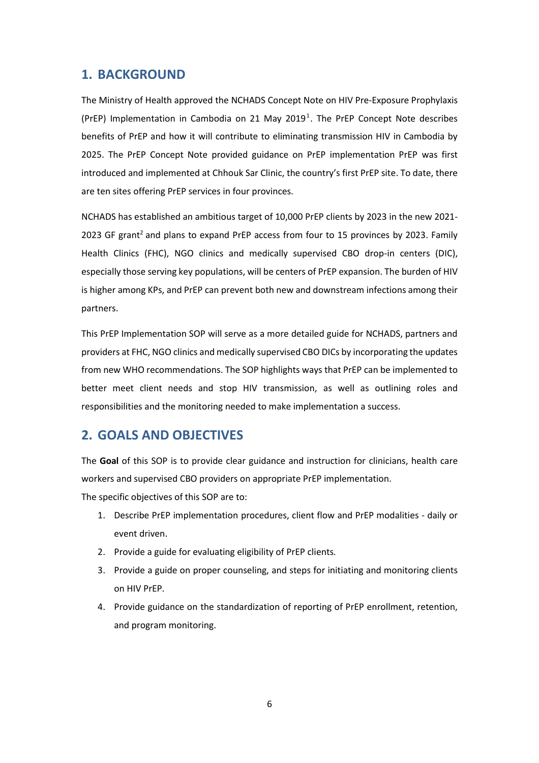## <span id="page-6-0"></span>**1. BACKGROUND**

The Ministry of Health approved the NCHADS Concept Note on HIV Pre-Exposure Prophylaxis (PrEP) Implementation in Cambodia on 21 May 2019<sup>1</sup>. The PrEP Concept Note describes benefits of PrEP and how it will contribute to eliminating transmission HIV in Cambodia by 2025. The PrEP Concept Note provided guidance on PrEP implementation PrEP was first introduced and implemented at Chhouk Sar Clinic, the country's first PrEP site. To date, there are ten sites offering PrEP services in four provinces.

NCHADS has established an ambitious target of 10,000 PrEP clients by 2023 in the new 2021- 2023 GF grant<sup>2</sup> and plans to expand PrEP access from four to 15 provinces by 2023. Family Health Clinics (FHC), NGO clinics and medically supervised CBO drop-in centers (DIC), especially those serving key populations, will be centers of PrEP expansion. The burden of HIV is higher among KPs, and PrEP can prevent both new and downstream infections among their partners.

This PrEP Implementation SOP will serve as a more detailed guide for NCHADS, partners and providers at FHC, NGO clinics and medically supervised CBO DICs by incorporating the updates from new WHO recommendations. The SOP highlights ways that PrEP can be implemented to better meet client needs and stop HIV transmission, as well as outlining roles and responsibilities and the monitoring needed to make implementation a success.

## <span id="page-6-1"></span>**2. GOALS AND OBJECTIVES**

The **Goal** of this SOP is to provide clear guidance and instruction for clinicians, health care workers and supervised CBO providers on appropriate PrEP implementation.

The specific objectives of this SOP are to:

- 1. Describe PrEP implementation procedures, client flow and PrEP modalities daily or event driven.
- 2. Provide a guide for evaluating eligibility of PrEP clients.
- 3. Provide a guide on proper counseling, and steps for initiating and monitoring clients on HIV PrEP.
- 4. Provide guidance on the standardization of reporting of PrEP enrollment, retention, and program monitoring.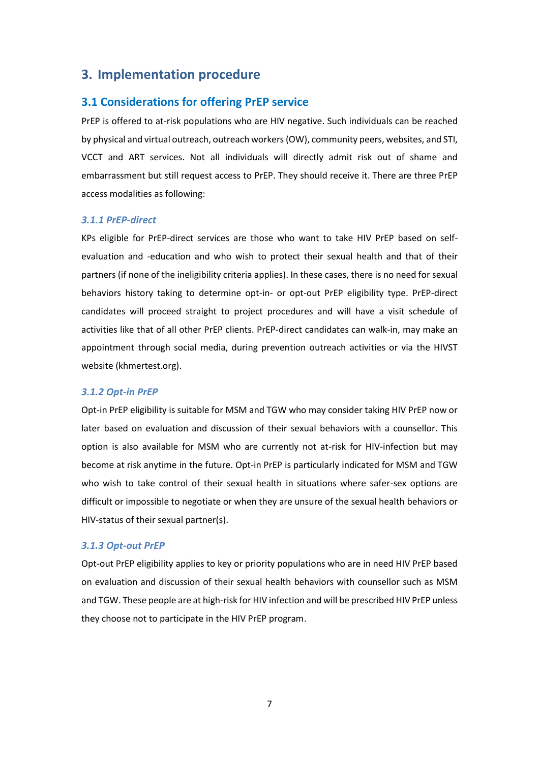## <span id="page-7-0"></span>**3. Implementation procedure**

## <span id="page-7-1"></span>**3.1 Considerations for offering PrEP service**

PrEP is offered to at-risk populations who are HIV negative. Such individuals can be reached by physical and virtual outreach, outreach workers (OW), community peers, websites, and STI, VCCT and ART services. Not all individuals will directly admit risk out of shame and embarrassment but still request access to PrEP. They should receive it. There are three PrEP access modalities as following:

#### *3.1.1 PrEP-direct*

KPs eligible for PrEP-direct services are those who want to take HIV PrEP based on selfevaluation and -education and who wish to protect their sexual health and that of their partners (if none of the ineligibility criteria applies). In these cases, there is no need for sexual behaviors history taking to determine opt-in- or opt-out PrEP eligibility type. PrEP-direct candidates will proceed straight to project procedures and will have a visit schedule of activities like that of all other PrEP clients. PrEP-direct candidates can walk-in, may make an appointment through social media, during prevention outreach activities or via the HIVST website (khmertest.org).

#### *3.1.2 Opt-in PrEP*

Opt-in PrEP eligibility is suitable for MSM and TGW who may consider taking HIV PrEP now or later based on evaluation and discussion of their sexual behaviors with a counsellor. This option is also available for MSM who are currently not at-risk for HIV-infection but may become at risk anytime in the future. Opt-in PrEP is particularly indicated for MSM and TGW who wish to take control of their sexual health in situations where safer-sex options are difficult or impossible to negotiate or when they are unsure of the sexual health behaviors or HIV-status of their sexual partner(s).

#### *3.1.3 Opt-out PrEP*

Opt-out PrEP eligibility applies to key or priority populations who are in need HIV PrEP based on evaluation and discussion of their sexual health behaviors with counsellor such as MSM and TGW. These people are at high-risk for HIV infection and will be prescribed HIV PrEP unless they choose not to participate in the HIV PrEP program.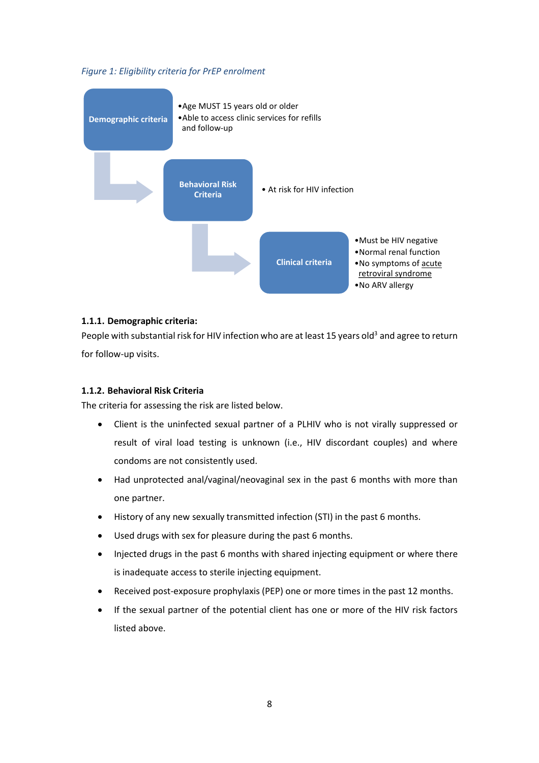<span id="page-8-0"></span>*Figure 1: Eligibility criteria for PrEP enrolment*



#### **1.1.1. Demographic criteria:**

People with substantial risk for HIV infection who are at least 15 years old<sup>3</sup> and agree to return for follow-up visits.

#### **1.1.2. Behavioral Risk Criteria**

The criteria for assessing the risk are listed below.

- Client is the uninfected sexual partner of a PLHIV who is not virally suppressed or result of viral load testing is unknown (i.e., HIV discordant couples) and where condoms are not consistently used.
- Had unprotected anal/vaginal/neovaginal sex in the past 6 months with more than one partner.
- History of any new sexually transmitted infection (STI) in the past 6 months.
- Used drugs with sex for pleasure during the past 6 months.
- Injected drugs in the past 6 months with shared injecting equipment or where there is inadequate access to sterile injecting equipment.
- Received post-exposure prophylaxis (PEP) one or more times in the past 12 months.
- If the sexual partner of the potential client has one or more of the HIV risk factors listed above.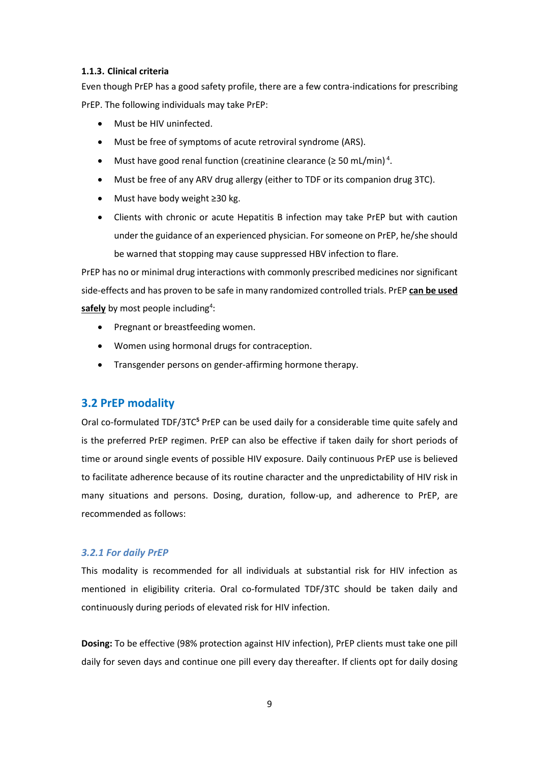#### **1.1.3. Clinical criteria**

Even though PrEP has a good safety profile, there are a few contra-indications for prescribing PrEP. The following individuals may take PrEP:

- Must be HIV uninfected.
- Must be free of symptoms of acute retroviral syndrome (ARS).
- Must have good renal function (creatinine clearance ( $\geq$  50 mL/min)<sup>4</sup>.
- Must be free of any ARV drug allergy (either to TDF or its companion drug 3TC).
- Must have body weight ≥30 kg.
- Clients with chronic or acute Hepatitis B infection may take PrEP but with caution under the guidance of an experienced physician. For someone on PrEP, he/she should be warned that stopping may cause suppressed HBV infection to flare.

PrEP has no or minimal drug interactions with commonly prescribed medicines nor significant side-effects and has proven to be safe in many randomized controlled trials. PrEP **can be used**  safely by most people including<sup>4</sup>:

- Pregnant or breastfeeding women.
- Women using hormonal drugs for contraception.
- Transgender persons on gender-affirming hormone therapy.

## <span id="page-9-0"></span>**3.2 PrEP modality**

Oral co-formulated TDF/3TC**<sup>5</sup>** PrEP can be used daily for a considerable time quite safely and is the preferred PrEP regimen. PrEP can also be effective if taken daily for short periods of time or around single events of possible HIV exposure. Daily continuous PrEP use is believed to facilitate adherence because of its routine character and the unpredictability of HIV risk in many situations and persons. Dosing, duration, follow-up, and adherence to PrEP, are recommended as follows:

#### *3.2.1 For daily PrEP*

This modality is recommended for all individuals at substantial risk for HIV infection as mentioned in eligibility criteria. Oral co-formulated TDF/3TC should be taken daily and continuously during periods of elevated risk for HIV infection.

**Dosing:** To be effective (98% protection against HIV infection), PrEP clients must take one pill daily for seven days and continue one pill every day thereafter. If clients opt for daily dosing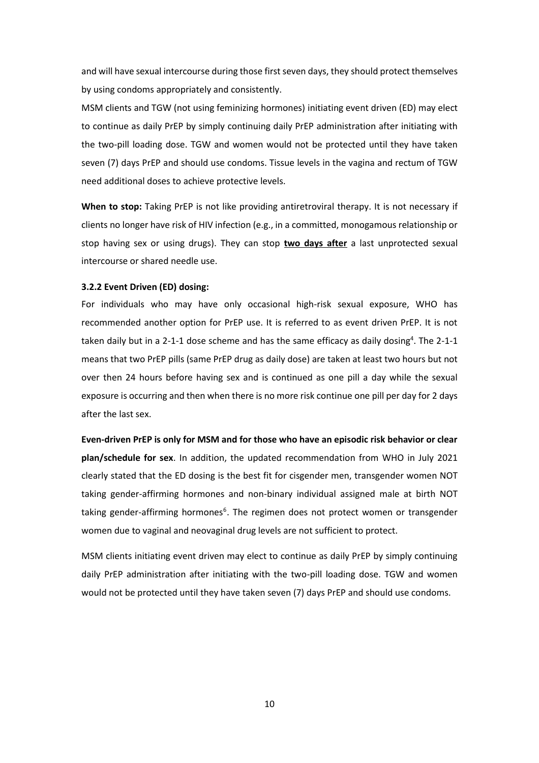and will have sexual intercourse during those first seven days, they should protect themselves by using condoms appropriately and consistently.

MSM clients and TGW (not using feminizing hormones) initiating event driven (ED) may elect to continue as daily PrEP by simply continuing daily PrEP administration after initiating with the two-pill loading dose. TGW and women would not be protected until they have taken seven (7) days PrEP and should use condoms. Tissue levels in the vagina and rectum of TGW need additional doses to achieve protective levels.

**When to stop:** Taking PrEP is not like providing antiretroviral therapy. It is not necessary if clients no longer have risk of HIV infection (e.g., in a committed, monogamous relationship or stop having sex or using drugs). They can stop **two days after** a last unprotected sexual intercourse or shared needle use.

#### **3.2.2 Event Driven (ED) dosing:**

For individuals who may have only occasional high-risk sexual exposure, WHO has recommended another option for PrEP use. It is referred to as event driven PrEP. It is not taken daily but in a 2-1-1 dose scheme and has the same efficacy as daily dosing<sup>4</sup>. The 2-1-1 means that two PrEP pills (same PrEP drug as daily dose) are taken at least two hours but not over then 24 hours before having sex and is continued as one pill a day while the sexual exposure is occurring and then when there is no more risk continue one pill per day for 2 days after the last sex.

**Even-driven PrEP is only for MSM and for those who have an episodic risk behavior or clear plan/schedule for sex**. In addition, the updated recommendation from WHO in July 2021 clearly stated that the ED dosing is the best fit for cisgender men, transgender women NOT taking gender-affirming hormones and non-binary individual assigned male at birth NOT taking gender-affirming hormones<sup>6</sup>. The regimen does not protect women or transgender women due to vaginal and neovaginal drug levels are not sufficient to protect.

MSM clients initiating event driven may elect to continue as daily PrEP by simply continuing daily PrEP administration after initiating with the two-pill loading dose. TGW and women would not be protected until they have taken seven (7) days PrEP and should use condoms.

10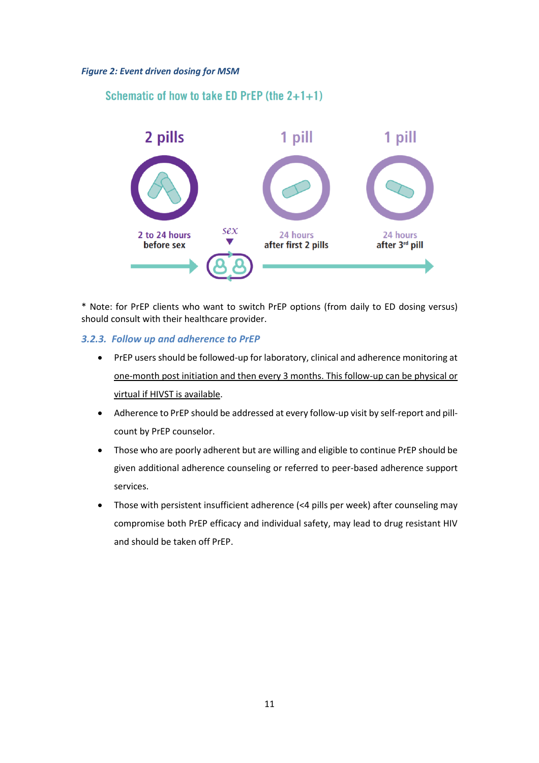#### <span id="page-11-0"></span>*Figure 2: Event driven dosing for MSM*

## Schematic of how to take ED PrEP (the  $2+1+1$ )



\* Note: for PrEP clients who want to switch PrEP options (from daily to ED dosing versus) should consult with their healthcare provider.

#### *3.2.3. Follow up and adherence to PrEP*

- PrEP users should be followed-up for laboratory, clinical and adherence monitoring at one-month post initiation and then every 3 months. This follow-up can be physical or virtual if HIVST is available.
- Adherence to PrEP should be addressed at every follow-up visit by self-report and pillcount by PrEP counselor.
- Those who are poorly adherent but are willing and eligible to continue PrEP should be given additional adherence counseling or referred to peer-based adherence support services.
- Those with persistent insufficient adherence (<4 pills per week) after counseling may compromise both PrEP efficacy and individual safety, may lead to drug resistant HIV and should be taken off PrEP.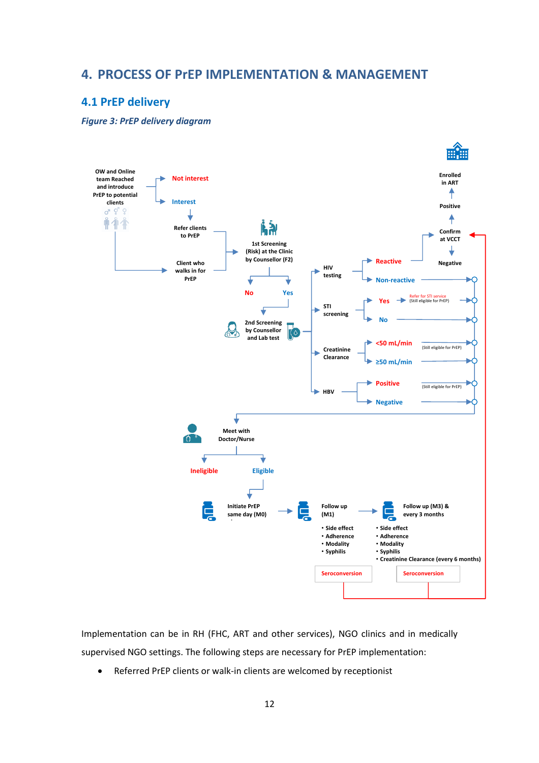## <span id="page-12-0"></span>**4. PROCESS OF PrEP IMPLEMENTATION & MANAGEMENT**

## <span id="page-12-1"></span>**4.1 PrEP delivery**

<span id="page-12-2"></span>*Figure 3: PrEP delivery diagram*



Implementation can be in RH (FHC, ART and other services), NGO clinics and in medically supervised NGO settings. The following steps are necessary for PrEP implementation:

• Referred PrEP clients or walk-in clients are welcomed by receptionist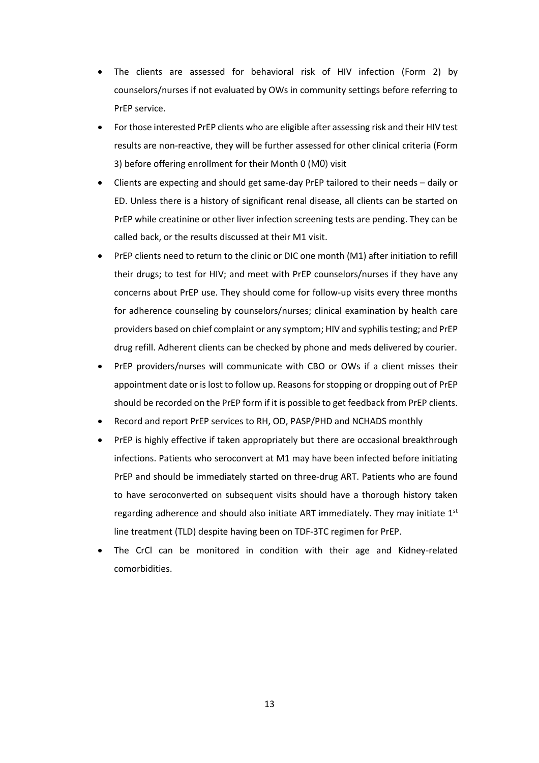- The clients are assessed for behavioral risk of HIV infection (Form 2) by counselors/nurses if not evaluated by OWs in community settings before referring to PrEP service.
- For those interested PrEP clients who are eligible after assessing risk and their HIV test results are non-reactive, they will be further assessed for other clinical criteria (Form 3) before offering enrollment for their Month 0 (M0) visit
- Clients are expecting and should get same-day PrEP tailored to their needs daily or ED. Unless there is a history of significant renal disease, all clients can be started on PrEP while creatinine or other liver infection screening tests are pending. They can be called back, or the results discussed at their M1 visit.
- PrEP clients need to return to the clinic or DIC one month (M1) after initiation to refill their drugs; to test for HIV; and meet with PrEP counselors/nurses if they have any concerns about PrEP use. They should come for follow-up visits every three months for adherence counseling by counselors/nurses; clinical examination by health care providers based on chief complaint or any symptom; HIV and syphilis testing; and PrEP drug refill. Adherent clients can be checked by phone and meds delivered by courier.
- PrEP providers/nurses will communicate with CBO or OWs if a client misses their appointment date or is lost to follow up. Reasons for stopping or dropping out of PrEP should be recorded on the PrEP form if it is possible to get feedback from PrEP clients.
- Record and report PrEP services to RH, OD, PASP/PHD and NCHADS monthly
- PrEP is highly effective if taken appropriately but there are occasional breakthrough infections. Patients who seroconvert at M1 may have been infected before initiating PrEP and should be immediately started on three-drug ART. Patients who are found to have seroconverted on subsequent visits should have a thorough history taken regarding adherence and should also initiate ART immediately. They may initiate  $1<sup>st</sup>$ line treatment (TLD) despite having been on TDF-3TC regimen for PrEP.
- <span id="page-13-0"></span>The CrCl can be monitored in condition with their age and Kidney-related comorbidities.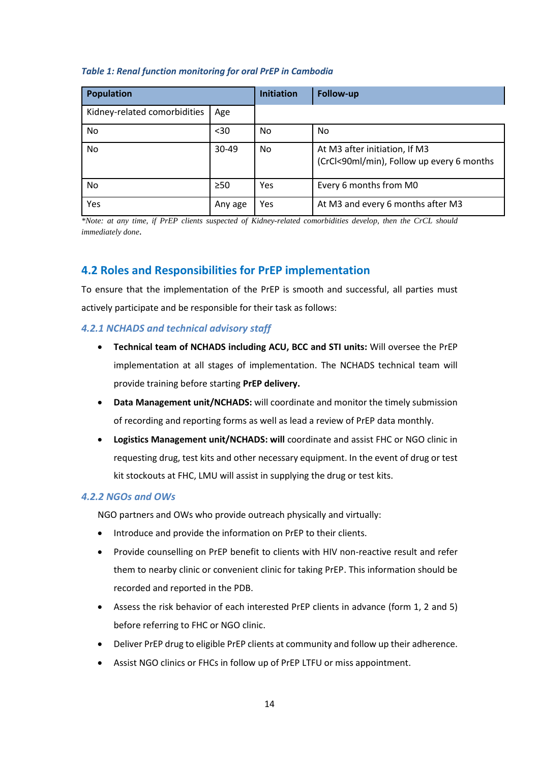#### *Table 1: Renal function monitoring for oral PrEP in Cambodia*

| <b>Population</b>            |           | <b>Initiation</b> | <b>Follow-up</b>                                                           |
|------------------------------|-----------|-------------------|----------------------------------------------------------------------------|
| Kidney-related comorbidities | Age       |                   |                                                                            |
| No                           | $30$      | No                | No                                                                         |
| No                           | $30 - 49$ | No                | At M3 after initiation, If M3<br>(CrCl<90ml/min), Follow up every 6 months |
| No                           | $\geq 50$ | Yes               | Every 6 months from M0                                                     |
| Yes                          | Any age   | Yes               | At M3 and every 6 months after M3                                          |

*\*Note: at any time, if PrEP clients suspected of Kidney-related comorbidities develop, then the CrCL should immediately done*.

## <span id="page-14-0"></span>**4.2 Roles and Responsibilities for PrEP implementation**

To ensure that the implementation of the PrEP is smooth and successful, all parties must actively participate and be responsible for their task as follows:

#### *4.2.1 NCHADS and technical advisory staff*

- **Technical team of NCHADS including ACU, BCC and STI units:** Will oversee the PrEP implementation at all stages of implementation. The NCHADS technical team will provide training before starting **PrEP delivery.**
- **Data Management unit/NCHADS:** will coordinate and monitor the timely submission of recording and reporting forms as well as lead a review of PrEP data monthly.
- **Logistics Management unit/NCHADS: will** coordinate and assist FHC or NGO clinic in requesting drug, test kits and other necessary equipment. In the event of drug or test kit stockouts at FHC, LMU will assist in supplying the drug or test kits.

#### *4.2.2 NGOs and OWs*

NGO partners and OWs who provide outreach physically and virtually:

- Introduce and provide the information on PrEP to their clients.
- Provide counselling on PrEP benefit to clients with HIV non-reactive result and refer them to nearby clinic or convenient clinic for taking PrEP. This information should be recorded and reported in the PDB.
- Assess the risk behavior of each interested PrEP clients in advance (form 1, 2 and 5) before referring to FHC or NGO clinic.
- Deliver PrEP drug to eligible PrEP clients at community and follow up their adherence.
- Assist NGO clinics or FHCs in follow up of PrEP LTFU or miss appointment.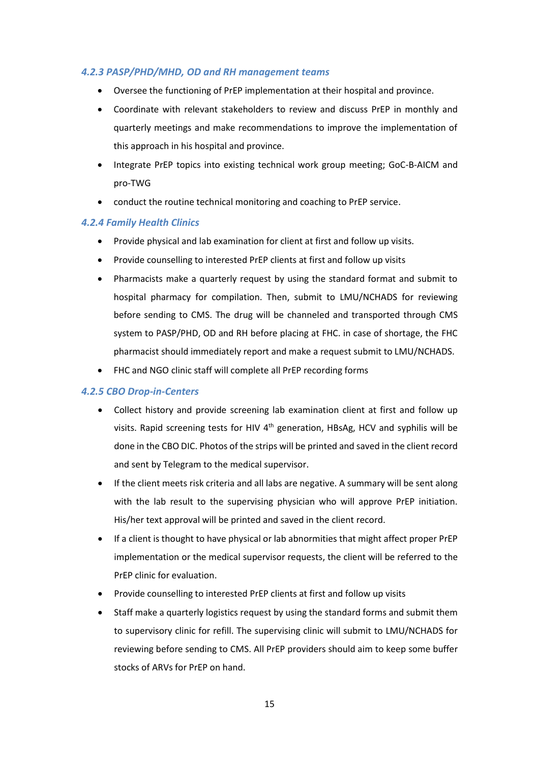## *4.2.3 PASP/PHD/MHD, OD and RH management teams*

- Oversee the functioning of PrEP implementation at their hospital and province.
- Coordinate with relevant stakeholders to review and discuss PrEP in monthly and quarterly meetings and make recommendations to improve the implementation of this approach in his hospital and province.
- Integrate PrEP topics into existing technical work group meeting; GoC-B-AICM and pro-TWG
- conduct the routine technical monitoring and coaching to PrEP service.

## *4.2.4 Family Health Clinics*

- Provide physical and lab examination for client at first and follow up visits.
- Provide counselling to interested PrEP clients at first and follow up visits
- Pharmacists make a quarterly request by using the standard format and submit to hospital pharmacy for compilation. Then, submit to LMU/NCHADS for reviewing before sending to CMS. The drug will be channeled and transported through CMS system to PASP/PHD, OD and RH before placing at FHC. in case of shortage, the FHC pharmacist should immediately report and make a request submit to LMU/NCHADS.
- FHC and NGO clinic staff will complete all PrEP recording forms

#### *4.2.5 CBO Drop-in-Centers*

- Collect history and provide screening lab examination client at first and follow up visits. Rapid screening tests for HIV 4<sup>th</sup> generation, HBsAg, HCV and syphilis will be done in the CBO DIC. Photos of the strips will be printed and saved in the client record and sent by Telegram to the medical supervisor.
- If the client meets risk criteria and all labs are negative. A summary will be sent along with the lab result to the supervising physician who will approve PrEP initiation. His/her text approval will be printed and saved in the client record.
- If a client is thought to have physical or lab abnormities that might affect proper PrEP implementation or the medical supervisor requests, the client will be referred to the PrEP clinic for evaluation.
- Provide counselling to interested PrEP clients at first and follow up visits
- Staff make a quarterly logistics request by using the standard forms and submit them to supervisory clinic for refill. The supervising clinic will submit to LMU/NCHADS for reviewing before sending to CMS. All PrEP providers should aim to keep some buffer stocks of ARVs for PrEP on hand.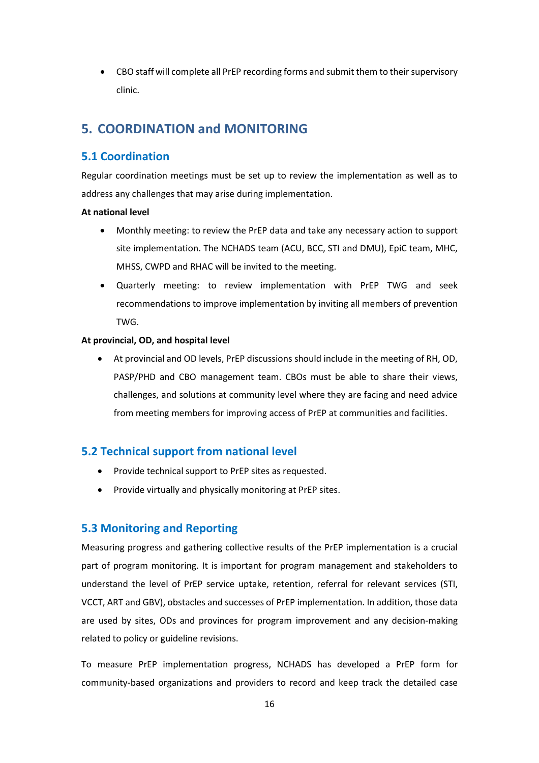• CBO staff will complete all PrEP recording forms and submit them to their supervisory clinic.

## <span id="page-16-0"></span>**5. COORDINATION and MONITORING**

## <span id="page-16-1"></span>**5.1 Coordination**

Regular coordination meetings must be set up to review the implementation as well as to address any challenges that may arise during implementation.

## **At national level**

- Monthly meeting: to review the PrEP data and take any necessary action to support site implementation. The NCHADS team (ACU, BCC, STI and DMU), EpiC team, MHC, MHSS, CWPD and RHAC will be invited to the meeting.
- Quarterly meeting: to review implementation with PrEP TWG and seek recommendations to improve implementation by inviting all members of prevention TWG.

## **At provincial, OD, and hospital level**

• At provincial and OD levels, PrEP discussions should include in the meeting of RH, OD, PASP/PHD and CBO management team. CBOs must be able to share their views, challenges, and solutions at community level where they are facing and need advice from meeting members for improving access of PrEP at communities and facilities.

## <span id="page-16-2"></span>**5.2 Technical support from national level**

- Provide technical support to PrEP sites as requested.
- Provide virtually and physically monitoring at PrEP sites.

## <span id="page-16-3"></span>**5.3 Monitoring and Reporting**

Measuring progress and gathering collective results of the PrEP implementation is a crucial part of program monitoring. It is important for program management and stakeholders to understand the level of PrEP service uptake, retention, referral for relevant services (STI, VCCT, ART and GBV), obstacles and successes of PrEP implementation. In addition, those data are used by sites, ODs and provinces for program improvement and any decision-making related to policy or guideline revisions.

To measure PrEP implementation progress, NCHADS has developed a PrEP form for community-based organizations and providers to record and keep track the detailed case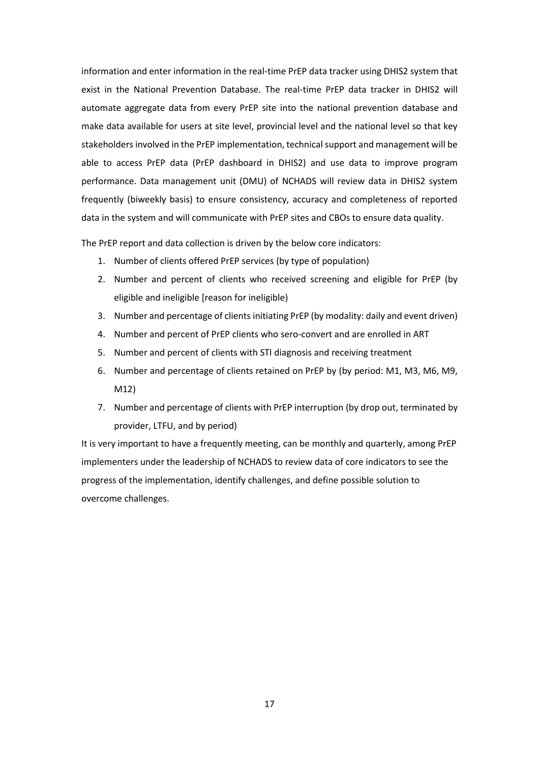information and enter information in the real-time PrEP data tracker using DHIS2 system that exist in the National Prevention Database. The real-time PrEP data tracker in DHIS2 will automate aggregate data from every PrEP site into the national prevention database and make data available for users at site level, provincial level and the national level so that key stakeholders involved in the PrEP implementation, technical support and management will be able to access PrEP data (PrEP dashboard in DHIS2) and use data to improve program performance. Data management unit (DMU) of NCHADS will review data in DHIS2 system frequently (biweekly basis) to ensure consistency, accuracy and completeness of reported data in the system and will communicate with PrEP sites and CBOs to ensure data quality.

The PrEP report and data collection is driven by the below core indicators:

- 1. Number of clients offered PrEP services (by type of population)
- 2. Number and percent of clients who received screening and eligible for PrEP (by eligible and ineligible [reason for ineligible)
- 3. Number and percentage of clients initiating PrEP (by modality: daily and event driven)
- 4. Number and percent of PrEP clients who sero-convert and are enrolled in ART
- 5. Number and percent of clients with STI diagnosis and receiving treatment
- 6. Number and percentage of clients retained on PrEP by (by period: M1, M3, M6, M9, M12)
- 7. Number and percentage of clients with PrEP interruption (by drop out, terminated by provider, LTFU, and by period)

It is very important to have a frequently meeting, can be monthly and quarterly, among PrEP implementers under the leadership of NCHADS to review data of core indicators to see the progress of the implementation, identify challenges, and define possible solution to overcome challenges.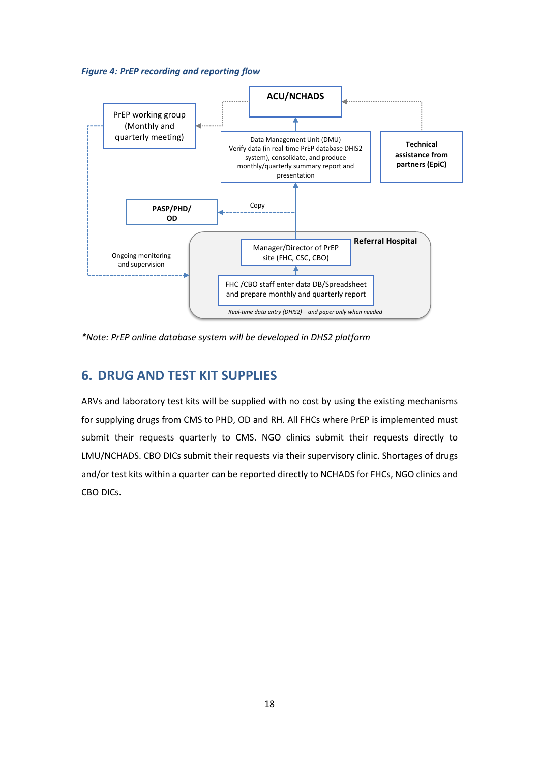<span id="page-18-1"></span>



*\*Note: PrEP online database system will be developed in DHS2 platform*

## <span id="page-18-0"></span>**6. DRUG AND TEST KIT SUPPLIES**

ARVs and laboratory test kits will be supplied with no cost by using the existing mechanisms for supplying drugs from CMS to PHD, OD and RH. All FHCs where PrEP is implemented must submit their requests quarterly to CMS. NGO clinics submit their requests directly to LMU/NCHADS. CBO DICs submit their requests via their supervisory clinic. Shortages of drugs and/or test kits within a quarter can be reported directly to NCHADS for FHCs, NGO clinics and CBO DICs.